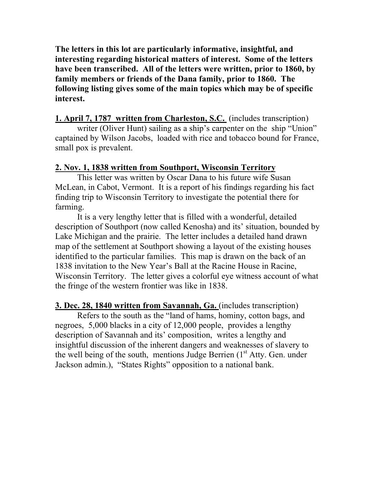**The letters in this lot are particularly informative, insightful, and interesting regarding historical matters of interest. Some of the letters have been transcribed. All of the letters were written, prior to 1860, by family members or friends of the Dana family, prior to 1860. The following listing gives some of the main topics which may be of specific interest.** 

## **1. April 7, 1787 written from Charleston, S.C.** (includes transcription)

writer (Oliver Hunt) sailing as a ship's carpenter on the ship "Union" captained by Wilson Jacobs, loaded with rice and tobacco bound for France, small pox is prevalent.

## **2. Nov. 1, 1838 written from Southport, Wisconsin Territory**

This letter was written by Oscar Dana to his future wife Susan McLean, in Cabot, Vermont. It is a report of his findings regarding his fact finding trip to Wisconsin Territory to investigate the potential there for farming.

It is a very lengthy letter that is filled with a wonderful, detailed description of Southport (now called Kenosha) and its' situation, bounded by Lake Michigan and the prairie. The letter includes a detailed hand drawn map of the settlement at Southport showing a layout of the existing houses identified to the particular families. This map is drawn on the back of an 1838 invitation to the New Year's Ball at the Racine House in Racine, Wisconsin Territory. The letter gives a colorful eye witness account of what the fringe of the western frontier was like in 1838.

**3. Dec. 28, 1840 written from Savannah, Ga.** (includes transcription)

Refers to the south as the "land of hams, hominy, cotton bags, and negroes, 5,000 blacks in a city of 12,000 people, provides a lengthy description of Savannah and its' composition, writes a lengthy and insightful discussion of the inherent dangers and weaknesses of slavery to the well being of the south, mentions Judge Berrien  $(1<sup>st</sup> Atty.$  Gen. under Jackson admin.), "States Rights" opposition to a national bank.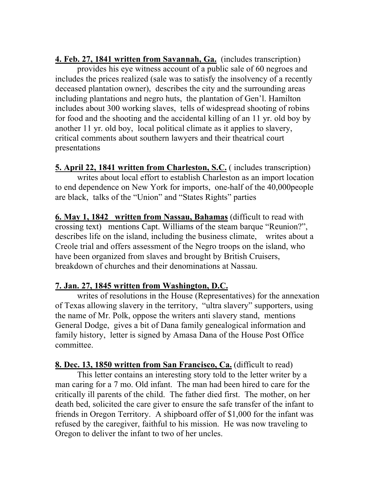**4. Feb. 27, 1841 written from Savannah, Ga.** (includes transcription) provides his eye witness account of a public sale of 60 negroes and includes the prices realized (sale was to satisfy the insolvency of a recently deceased plantation owner), describes the city and the surrounding areas including plantations and negro huts, the plantation of Gen'l. Hamilton includes about 300 working slaves, tells of widespread shooting of robins for food and the shooting and the accidental killing of an 11 yr. old boy by another 11 yr. old boy, local political climate as it applies to slavery, critical comments about southern lawyers and their theatrical court presentations

**5. April 22, 1841 written from Charleston, S.C.** ( includes transcription) writes about local effort to establish Charleston as an import location to end dependence on New York for imports, one-half of the 40,000people are black, talks of the "Union" and "States Rights" parties

**6. May 1, 1842 written from Nassau, Bahamas** (difficult to read with crossing text) mentions Capt. Williams of the steam barque "Reunion?", describes life on the island, including the business climate, writes about a Creole trial and offers assessment of the Negro troops on the island, who have been organized from slaves and brought by British Cruisers, breakdown of churches and their denominations at Nassau.

## **7. Jan. 27, 1845 written from Washington, D.C.**

writes of resolutions in the House (Representatives) for the annexation of Texas allowing slavery in the territory, "ultra slavery" supporters, using the name of Mr. Polk, oppose the writers anti slavery stand, mentions General Dodge, gives a bit of Dana family genealogical information and family history, letter is signed by Amasa Dana of the House Post Office committee.

**8. Dec. 13, 1850 written from San Francisco, Ca.** (difficult to read)

This letter contains an interesting story told to the letter writer by a man caring for a 7 mo. Old infant. The man had been hired to care for the critically ill parents of the child. The father died first. The mother, on her death bed, solicited the care giver to ensure the safe transfer of the infant to friends in Oregon Territory. A shipboard offer of \$1,000 for the infant was refused by the caregiver, faithful to his mission. He was now traveling to Oregon to deliver the infant to two of her uncles.